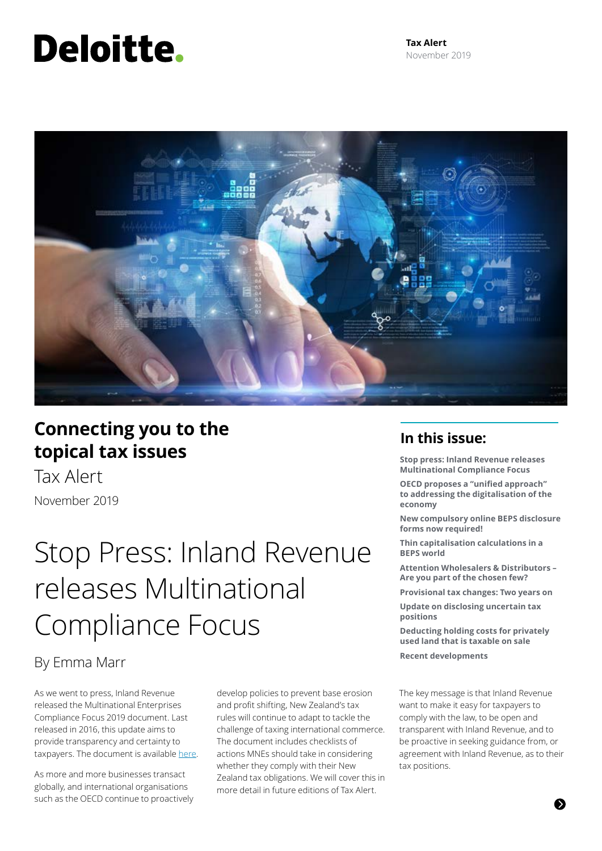# Deloitte.



### **Connecting you to the topical tax issues**

Tax Alert November 2019

## Stop Press: Inland Revenue releases Multinational Compliance Focus

### By Emma Marr

As we went to press, Inland Revenue released the Multinational Enterprises Compliance Focus 2019 document. Last released in 2016, this update aims to provide transparency and certainty to taxpayers. The document is available [here](https://www.classic.ird.govt.nz/resources/4/3/43264550-b294-4598-8545-f1f05322fe45/compliance-focus-2019.pdf).

As more and more businesses transact globally, and international organisations such as the OECD continue to proactively develop policies to prevent base erosion and profit shifting, New Zealand's tax rules will continue to adapt to tackle the challenge of taxing international commerce. The document includes checklists of actions MNEs should take in considering whether they comply with their New Zealand tax obligations. We will cover this in more detail in future editions of Tax Alert.

### **In this issue:**

**Stop press: Inland Revenue releases Multinational Compliance Focus** 

**OECD proposes a "unified approach" to addressing the digitalisation of the economy**

**New compulsory online BEPS disclosure forms now required!**

**Thin capitalisation calculations in a BEPS world**

**Attention Wholesalers & Distributors – Are you part of the chosen few?**

**Provisional tax changes: Two years on**

**Update on disclosing uncertain tax positions**

**Deducting holding costs for privately used land that is taxable on sale Recent developments**

The key message is that Inland Revenue want to make it easy for taxpayers to comply with the law, to be open and transparent with Inland Revenue, and to be proactive in seeking guidance from, or agreement with Inland Revenue, as to their tax positions.

的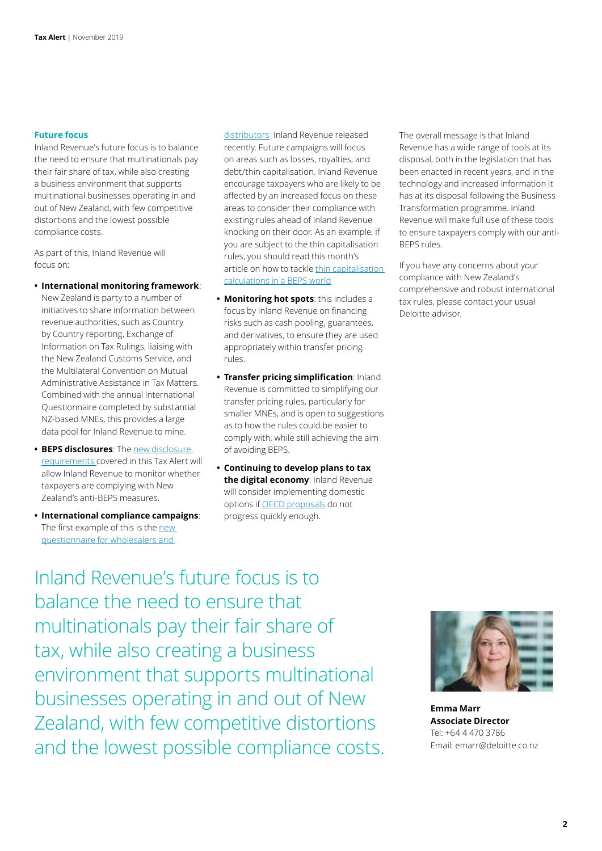#### **Future focus**

Inland Revenue's future focus is to balance the need to ensure that multinationals pay their fair share of tax, while also creating a business environment that supports multinational businesses operating in and out of New Zealand, with few competitive distortions and the lowest possible compliance costs.

As part of this, Inland Revenue will focus on:

**• International monitoring framework**:

New Zealand is party to a number of initiatives to share information between revenue authorities, such as Country by Country reporting, Exchange of Information on Tax Rulings, liaising with the New Zealand Customs Service, and the Multilateral Convention on Mutual Administrative Assistance in Tax Matters. Combined with the annual International Questionnaire completed by substantial NZ-based MNEs, this provides a large data pool for Inland Revenue to mine.

- **• BEPS disclosures**: The [new disclosure](https://www2.deloitte.com/nz/en/pages/tax-alerts/articles/compulsory-online-beps-disclosure-forms.html)  [requirements](https://www2.deloitte.com/nz/en/pages/tax-alerts/articles/compulsory-online-beps-disclosure-forms.html) covered in this Tax Alert will allow Inland Revenue to monitor whether taxpayers are complying with New Zealand's anti-BEPS measures.
- **• International compliance campaigns**: The first example of this is the new [questionnaire for wholesalers and](https://www2.deloitte.com/nz/en/pages/tax-alerts/articles/attention-wholesalers-and-distributors.html)

[distributors](https://www2.deloitte.com/nz/en/pages/tax-alerts/articles/attention-wholesalers-and-distributors.html) Inland Revenue released recently. Future campaigns will focus on areas such as losses, royalties, and debt/thin capitalisation. Inland Revenue encourage taxpayers who are likely to be affected by an increased focus on these areas to consider their compliance with existing rules ahead of Inland Revenue knocking on their door. As an example, if you are subject to the thin capitalisation rules, you should read this month's article on how to tackle [thin capitalisation](https://www2.deloitte.com/nz/en/pages/tax-alerts/articles/thin-capitalisation-calculations-in-a-beps-world.html)  [calculations in a BEPS world](https://www2.deloitte.com/nz/en/pages/tax-alerts/articles/thin-capitalisation-calculations-in-a-beps-world.html)

- **• Monitoring hot spots**: this includes a focus by Inland Revenue on financing risks such as cash pooling, guarantees, and derivatives, to ensure they are used appropriately within transfer pricing rules.
- **• Transfer pricing simplification**: Inland Revenue is committed to simplifying our transfer pricing rules, particularly for smaller MNEs, and is open to suggestions as to how the rules could be easier to comply with, while still achieving the aim of avoiding BEPS.
- **• Continuing to develop plans to tax the digital economy**: Inland Revenue will consider implementing domestic options if [OECD proposals](https://www2.deloitte.com/nz/en/pages/tax-alerts/articles/unified-approach-to-pillar-one.html) do not progress quickly enough.

The overall message is that Inland Revenue has a wide range of tools at its disposal, both in the legislation that has been enacted in recent years, and in the technology and increased information it has at its disposal following the Business Transformation programme. Inland Revenue will make full use of these tools to ensure taxpayers comply with our anti-BEPS rules.

If you have any concerns about your compliance with New Zealand's comprehensive and robust international tax rules, please contact your usual Deloitte advisor.

Inland Revenue's future focus is to balance the need to ensure that multinationals pay their fair share of tax, while also creating a business environment that supports multinational businesses operating in and out of New Zealand, with few competitive distortions and the lowest possible compliance costs.



**Emma Marr Associate Director** Tel: +64 4 470 3786 Email: emarr@deloitte.co.nz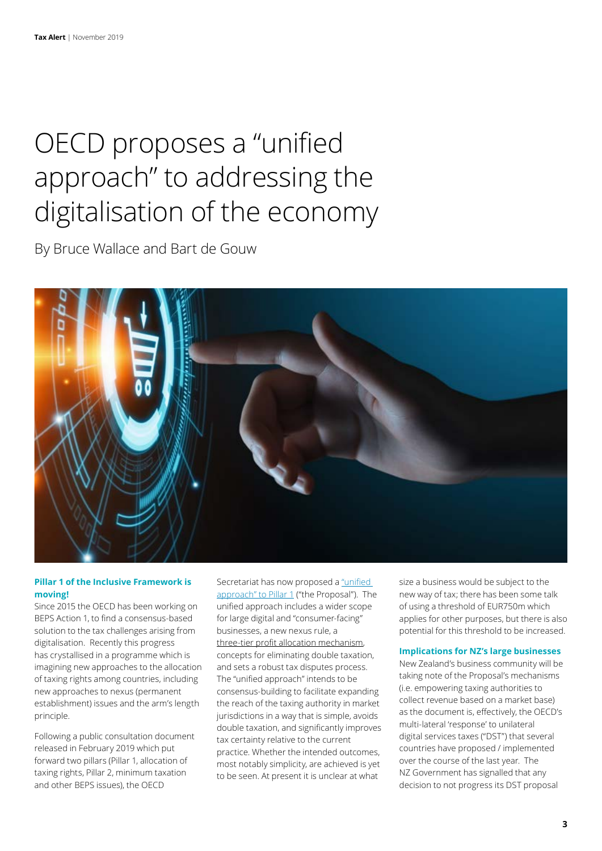### OECD proposes a "unified approach" to addressing the digitalisation of the economy

By Bruce Wallace and Bart de Gouw



#### **Pillar 1 of the Inclusive Framework is moving!**

Since 2015 the OECD has been working on BEPS Action 1, to find a consensus-based solution to the tax challenges arising from digitalisation. Recently this progress has crystallised in a programme which is imagining new approaches to the allocation of taxing rights among countries, including new approaches to nexus (permanent establishment) issues and the arm's length principle.

Following a public consultation document released in February 2019 which put forward two pillars (Pillar 1, allocation of taxing rights, Pillar 2, minimum taxation and other BEPS issues), the OECD

Secretariat has now proposed a ["unified](http://www.oecd.org/tax/beps/public-consultation-document-secretariat-proposal-unified-approach-pillar-one.pdf)  [approach" to Pillar 1](http://www.oecd.org/tax/beps/public-consultation-document-secretariat-proposal-unified-approach-pillar-one.pdf) ("the Proposal"). The unified approach includes a wider scope for large digital and "consumer-facing" businesses, a new nexus rule, a three-tier profit allocation mechanism, concepts for eliminating double taxation, and sets a robust tax disputes process. The "unified approach" intends to be consensus-building to facilitate expanding the reach of the taxing authority in market jurisdictions in a way that is simple, avoids double taxation, and significantly improves tax certainty relative to the current practice. Whether the intended outcomes, most notably simplicity, are achieved is yet to be seen. At present it is unclear at what

size a business would be subject to the new way of tax; there has been some talk of using a threshold of EUR750m which applies for other purposes, but there is also potential for this threshold to be increased.

#### **Implications for NZ's large businesses**

New Zealand's business community will be taking note of the Proposal's mechanisms (i.e. empowering taxing authorities to collect revenue based on a market base) as the document is, effectively, the OECD's multi-lateral 'response' to unilateral digital services taxes ("DST") that several countries have proposed / implemented over the course of the last year. The NZ Government has signalled that any decision to not progress its DST proposal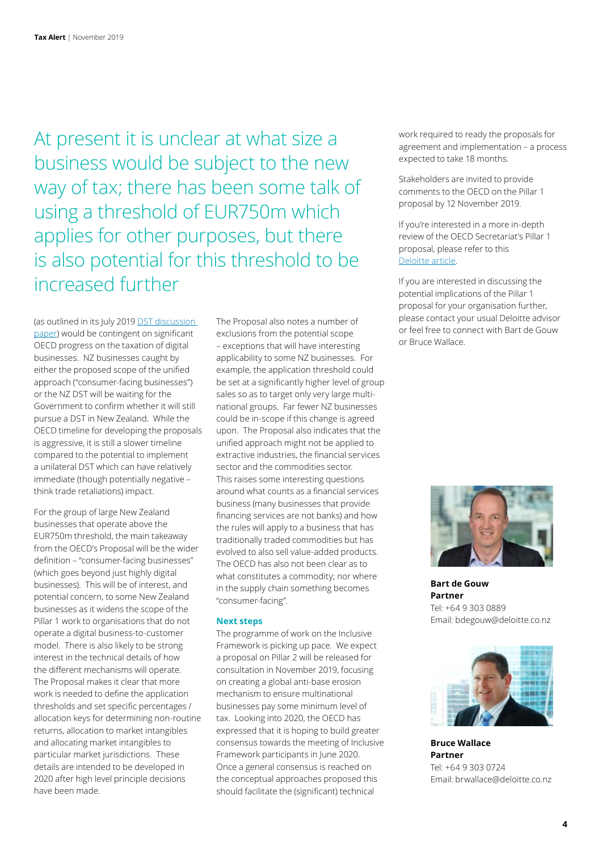At present it is unclear at what size a business would be subject to the new way of tax; there has been some talk of using a threshold of EUR750m which applies for other purposes, but there is also potential for this threshold to be increased further

(as outlined in its July 2019 [DST discussion](https://www2.deloitte.com/nz/en/pages/tax-alerts/articles/nz-outlines-proposal-for-digital-services-tax.html)  [paper](https://www2.deloitte.com/nz/en/pages/tax-alerts/articles/nz-outlines-proposal-for-digital-services-tax.html)) would be contingent on significant OECD progress on the taxation of digital businesses. NZ businesses caught by either the proposed scope of the unified approach ("consumer-facing businesses") or the NZ DST will be waiting for the Government to confirm whether it will still pursue a DST in New Zealand. While the OECD timeline for developing the proposals is aggressive, it is still a slower timeline compared to the potential to implement a unilateral DST which can have relatively immediate (though potentially negative – think trade retaliations) impact.

For the group of large New Zealand businesses that operate above the EUR750m threshold, the main takeaway from the OECD's Proposal will be the wider definition – "consumer-facing businesses" (which goes beyond just highly digital businesses). This will be of interest, and potential concern, to some New Zealand businesses as it widens the scope of the Pillar 1 work to organisations that do not operate a digital business-to-customer model. There is also likely to be strong interest in the technical details of how the different mechanisms will operate. The Proposal makes it clear that more work is needed to define the application thresholds and set specific percentages / allocation keys for determining non-routine returns, allocation to market intangibles and allocating market intangibles to particular market jurisdictions. These details are intended to be developed in 2020 after high level principle decisions have been made.

The Proposal also notes a number of exclusions from the potential scope – exceptions that will have interesting applicability to some NZ businesses. For example, the application threshold could be set at a significantly higher level of group sales so as to target only very large multinational groups. Far fewer NZ businesses could be in-scope if this change is agreed upon. The Proposal also indicates that the unified approach might not be applied to extractive industries, the financial services sector and the commodities sector. This raises some interesting questions around what counts as a financial services business (many businesses that provide financing services are not banks) and how the rules will apply to a business that has traditionally traded commodities but has evolved to also sell value-added products. The OECD has also not been clear as to what constitutes a commodity; nor where in the supply chain something becomes "consumer-facing".

#### **Next steps**

The programme of work on the Inclusive Framework is picking up pace. We expect a proposal on Pillar 2 will be released for consultation in November 2019, focusing on creating a global anti-base erosion mechanism to ensure multinational businesses pay some minimum level of tax. Looking into 2020, the OECD has expressed that it is hoping to build greater consensus towards the meeting of Inclusive Framework participants in June 2020. Once a general consensus is reached on the conceptual approaches proposed this should facilitate the (significant) technical

work required to ready the proposals for agreement and implementation – a process expected to take 18 months.

Stakeholders are invited to provide comments to the OECD on the Pillar 1 proposal by 12 November 2019.

If you're interested in a more in-depth review of the OECD Secretariat's Pillar 1 proposal, please refer to this [Deloitte article.](https://www2.deloitte.com/content/dam/Deloitte/global/Documents/Tax/dtt-tax-armslengthstandard-191014.pdf)

If you are interested in discussing the potential implications of the Pillar 1 proposal for your organisation further, please contact your usual Deloitte advisor or feel free to connect with Bart de Gouw or Bruce Wallace.



**Bart de Gouw Partner** Tel: +64 9 303 0889 Email: bdegouw@deloitte.co.nz



**Bruce Wallace Partner** Tel: +64 9 303 0724 Email: brwallace@deloitte.co.nz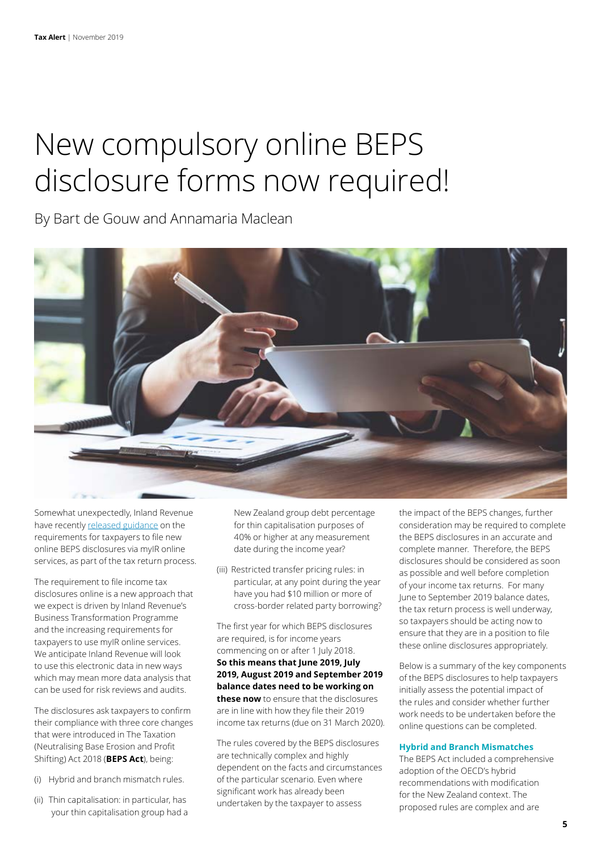# New compulsory online BEPS disclosure forms now required!

By Bart de Gouw and Annamaria Maclean



Somewhat unexpectedly, Inland Revenue have recently [released guidance](https://www.classic.ird.govt.nz/international/business/beps-disclosure/beps-disclosure.html) on the requirements for taxpayers to file new online BEPS disclosures via myIR online services, as part of the tax return process.

The requirement to file income tax disclosures online is a new approach that we expect is driven by Inland Revenue's Business Transformation Programme and the increasing requirements for taxpayers to use myIR online services. We anticipate Inland Revenue will look to use this electronic data in new ways which may mean more data analysis that can be used for risk reviews and audits.

The disclosures ask taxpayers to confirm their compliance with three core changes that were introduced in The Taxation (Neutralising Base Erosion and Profit Shifting) Act 2018 (**BEPS Act**), being:

- (i) Hybrid and branch mismatch rules.
- (ii) Thin capitalisation: in particular, has your thin capitalisation group had a

New Zealand group debt percentage for thin capitalisation purposes of 40% or higher at any measurement date during the income year?

(iii) Restricted transfer pricing rules: in particular, at any point during the year have you had \$10 million or more of cross-border related party borrowing?

The first year for which BEPS disclosures are required, is for income years commencing on or after 1 July 2018. **So this means that June 2019, July 2019, August 2019 and September 2019 balance dates need to be working on these now** to ensure that the disclosures are in line with how they file their 2019 income tax returns (due on 31 March 2020).

The rules covered by the BEPS disclosures are technically complex and highly dependent on the facts and circumstances of the particular scenario. Even where significant work has already been undertaken by the taxpayer to assess

the impact of the BEPS changes, further consideration may be required to complete the BEPS disclosures in an accurate and complete manner. Therefore, the BEPS disclosures should be considered as soon as possible and well before completion of your income tax returns. For many June to September 2019 balance dates, the tax return process is well underway, so taxpayers should be acting now to ensure that they are in a position to file these online disclosures appropriately.

Below is a summary of the key components of the BEPS disclosures to help taxpayers initially assess the potential impact of the rules and consider whether further work needs to be undertaken before the online questions can be completed.

#### **Hybrid and Branch Mismatches**

The BEPS Act included a comprehensive adoption of the OECD's hybrid recommendations with modification for the New Zealand context. The proposed rules are complex and are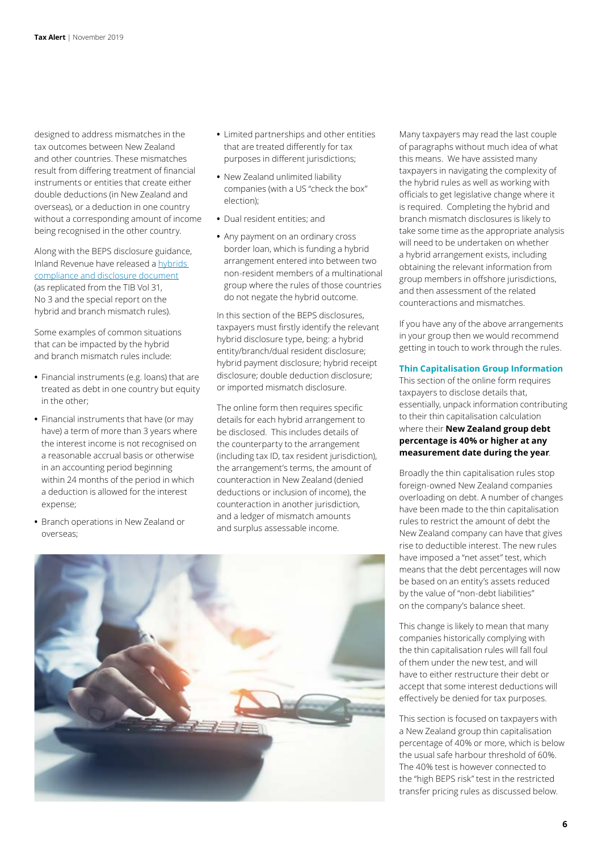designed to address mismatches in the tax outcomes between New Zealand and other countries. These mismatches result from differing treatment of financial instruments or entities that create either double deductions (in New Zealand and overseas), or a deduction in one country without a corresponding amount of income being recognised in the other country.

Along with the BEPS disclosure guidance, Inland Revenue have released a [hybrids](https://www.classic.ird.govt.nz/resources/7/1/71357794-55a5-4471-baba-4ba1e4e6a117/hybrids-compliance-disclosure-table.pdf)  [compliance and disclosure document](https://www.classic.ird.govt.nz/resources/7/1/71357794-55a5-4471-baba-4ba1e4e6a117/hybrids-compliance-disclosure-table.pdf) (as replicated from the TIB Vol 31, No 3 and the special report on the hybrid and branch mismatch rules).

Some examples of common situations that can be impacted by the hybrid and branch mismatch rules include:

- **•** Financial instruments (e.g. loans) that are treated as debt in one country but equity in the other;
- **•** Financial instruments that have (or may have) a term of more than 3 years where the interest income is not recognised on a reasonable accrual basis or otherwise in an accounting period beginning within 24 months of the period in which a deduction is allowed for the interest expense;
- **•** Branch operations in New Zealand or overseas;
- **•** Limited partnerships and other entities that are treated differently for tax purposes in different jurisdictions;
- **•** New Zealand unlimited liability companies (with a US "check the box" election);
- **•** Dual resident entities; and
- **•** Any payment on an ordinary cross border loan, which is funding a hybrid arrangement entered into between two non-resident members of a multinational group where the rules of those countries do not negate the hybrid outcome.

In this section of the BEPS disclosures, taxpayers must firstly identify the relevant hybrid disclosure type, being: a hybrid entity/branch/dual resident disclosure; hybrid payment disclosure; hybrid receipt disclosure; double deduction disclosure; or imported mismatch disclosure.

The online form then requires specific details for each hybrid arrangement to be disclosed. This includes details of the counterparty to the arrangement (including tax ID, tax resident jurisdiction), the arrangement's terms, the amount of counteraction in New Zealand (denied deductions or inclusion of income), the counteraction in another jurisdiction, and a ledger of mismatch amounts and surplus assessable income.

Many taxpayers may read the last couple of paragraphs without much idea of what this means. We have assisted many taxpayers in navigating the complexity of the hybrid rules as well as working with officials to get legislative change where it is required. Completing the hybrid and branch mismatch disclosures is likely to take some time as the appropriate analysis will need to be undertaken on whether a hybrid arrangement exists, including obtaining the relevant information from group members in offshore jurisdictions, and then assessment of the related counteractions and mismatches.

If you have any of the above arrangements in your group then we would recommend getting in touch to work through the rules.

#### **Thin Capitalisation Group Information**

This section of the online form requires taxpayers to disclose details that, essentially, unpack information contributing to their thin capitalisation calculation where their **New Zealand group debt percentage is 40% or higher at any measurement date during the year**.

Broadly the thin capitalisation rules stop foreign-owned New Zealand companies overloading on debt. A number of changes have been made to the thin capitalisation rules to restrict the amount of debt the New Zealand company can have that gives rise to deductible interest. The new rules have imposed a "net asset" test, which means that the debt percentages will now be based on an entity's assets reduced by the value of "non-debt liabilities" on the company's balance sheet.

This change is likely to mean that many companies historically complying with the thin capitalisation rules will fall foul of them under the new test, and will have to either restructure their debt or accept that some interest deductions will effectively be denied for tax purposes.

This section is focused on taxpayers with a New Zealand group thin capitalisation percentage of 40% or more, which is below the usual safe harbour threshold of 60%. The 40% test is however connected to the "high BEPS risk" test in the restricted transfer pricing rules as discussed below.

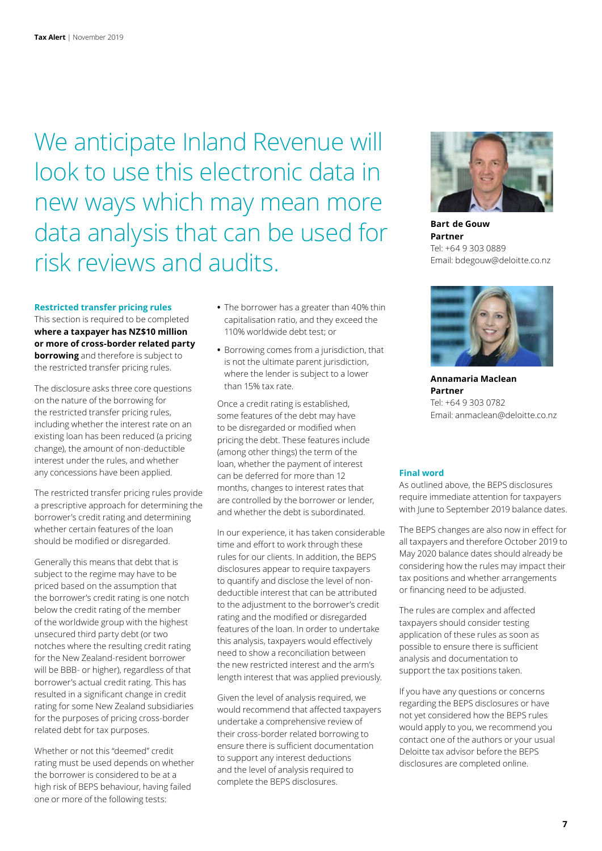We anticipate Inland Revenue will look to use this electronic data in new ways which may mean more data analysis that can be used for risk reviews and audits.

#### **Restricted transfer pricing rules**

This section is required to be completed **where a taxpayer has NZ\$10 million or more of cross-border related party borrowing** and therefore is subject to the restricted transfer pricing rules.

The disclosure asks three core questions on the nature of the borrowing for the restricted transfer pricing rules, including whether the interest rate on an existing loan has been reduced (a pricing change), the amount of non-deductible interest under the rules, and whether any concessions have been applied.

The restricted transfer pricing rules provide a prescriptive approach for determining the borrower's credit rating and determining whether certain features of the loan should be modified or disregarded.

Generally this means that debt that is subject to the regime may have to be priced based on the assumption that the borrower's credit rating is one notch below the credit rating of the member of the worldwide group with the highest unsecured third party debt (or two notches where the resulting credit rating for the New Zealand-resident borrower will be BBB- or higher), regardless of that borrower's actual credit rating. This has resulted in a significant change in credit rating for some New Zealand subsidiaries for the purposes of pricing cross-border related debt for tax purposes.

Whether or not this "deemed" credit rating must be used depends on whether the borrower is considered to be at a high risk of BEPS behaviour, having failed one or more of the following tests:

- **•** The borrower has a greater than 40% thin capitalisation ratio, and they exceed the 110% worldwide debt test; or
- **•** Borrowing comes from a jurisdiction, that is not the ultimate parent jurisdiction, where the lender is subject to a lower than 15% tax rate.

Once a credit rating is established, some features of the debt may have to be disregarded or modified when pricing the debt. These features include (among other things) the term of the loan, whether the payment of interest can be deferred for more than 12 months, changes to interest rates that are controlled by the borrower or lender, and whether the debt is subordinated.

In our experience, it has taken considerable time and effort to work through these rules for our clients. In addition, the BEPS disclosures appear to require taxpayers to quantify and disclose the level of nondeductible interest that can be attributed to the adjustment to the borrower's credit rating and the modified or disregarded features of the loan. In order to undertake this analysis, taxpayers would effectively need to show a reconciliation between the new restricted interest and the arm's length interest that was applied previously.

Given the level of analysis required, we would recommend that affected taxpayers undertake a comprehensive review of their cross-border related borrowing to ensure there is sufficient documentation to support any interest deductions and the level of analysis required to complete the BEPS disclosures.



**Bart  de Gouw Partner** Tel: +64 9 303 0889 Email: bdegouw@deloitte.co.nz



**Annamaria Maclean Partner** Tel: +64 9 303 0782 Email: anmaclean@deloitte.co.nz

#### **Final word**

As outlined above, the BEPS disclosures require immediate attention for taxpayers with June to September 2019 balance dates.

The BEPS changes are also now in effect for all taxpayers and therefore October 2019 to May 2020 balance dates should already be considering how the rules may impact their tax positions and whether arrangements or financing need to be adjusted.

The rules are complex and affected taxpayers should consider testing application of these rules as soon as possible to ensure there is sufficient analysis and documentation to support the tax positions taken.

If you have any questions or concerns regarding the BEPS disclosures or have not yet considered how the BEPS rules would apply to you, we recommend you contact one of the authors or your usual Deloitte tax advisor before the BEPS disclosures are completed online.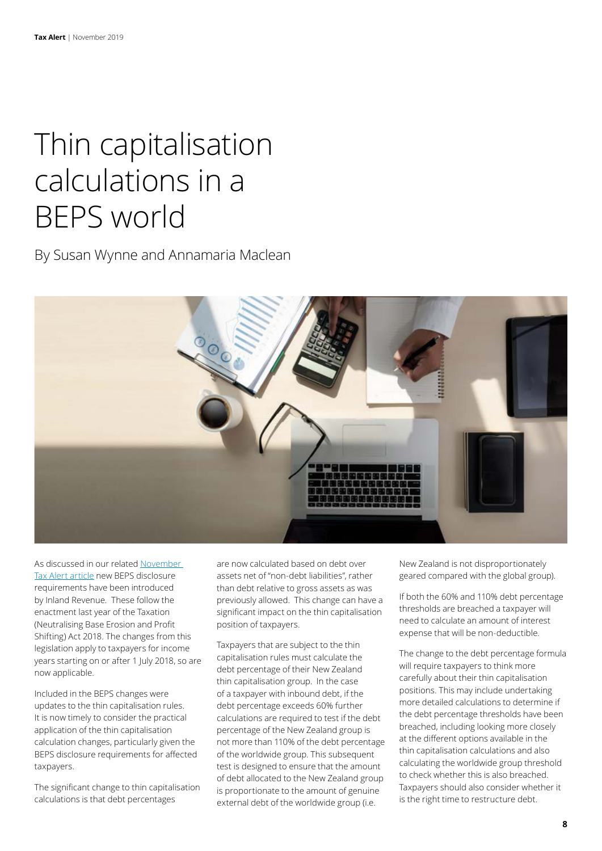## Thin capitalisation calculations in a BEPS world

By Susan Wynne and Annamaria Maclean



As discussed in our related [November](https://www2.deloitte.com/nz/en/pages/tax-alerts/articles/compulsory-online-beps-disclosure-forms.html)  [Tax Alert article](https://www2.deloitte.com/nz/en/pages/tax-alerts/articles/compulsory-online-beps-disclosure-forms.html) new BEPS disclosure requirements have been introduced by Inland Revenue. These follow the enactment last year of the Taxation (Neutralising Base Erosion and Profit Shifting) Act 2018. The changes from this legislation apply to taxpayers for income years starting on or after 1 July 2018, so are now applicable.

Included in the BEPS changes were updates to the thin capitalisation rules. It is now timely to consider the practical application of the thin capitalisation calculation changes, particularly given the BEPS disclosure requirements for affected taxpayers.

The significant change to thin capitalisation calculations is that debt percentages

are now calculated based on debt over assets net of "non-debt liabilities", rather than debt relative to gross assets as was previously allowed. This change can have a significant impact on the thin capitalisation position of taxpayers.

Taxpayers that are subject to the thin capitalisation rules must calculate the debt percentage of their New Zealand thin capitalisation group. In the case of a taxpayer with inbound debt, if the debt percentage exceeds 60% further calculations are required to test if the debt percentage of the New Zealand group is not more than 110% of the debt percentage of the worldwide group. This subsequent test is designed to ensure that the amount of debt allocated to the New Zealand group is proportionate to the amount of genuine external debt of the worldwide group (i.e.

New Zealand is not disproportionately geared compared with the global group).

If both the 60% and 110% debt percentage thresholds are breached a taxpayer will need to calculate an amount of interest expense that will be non-deductible.

The change to the debt percentage formula will require taxpayers to think more carefully about their thin capitalisation positions. This may include undertaking more detailed calculations to determine if the debt percentage thresholds have been breached, including looking more closely at the different options available in the thin capitalisation calculations and also calculating the worldwide group threshold to check whether this is also breached. Taxpayers should also consider whether it is the right time to restructure debt.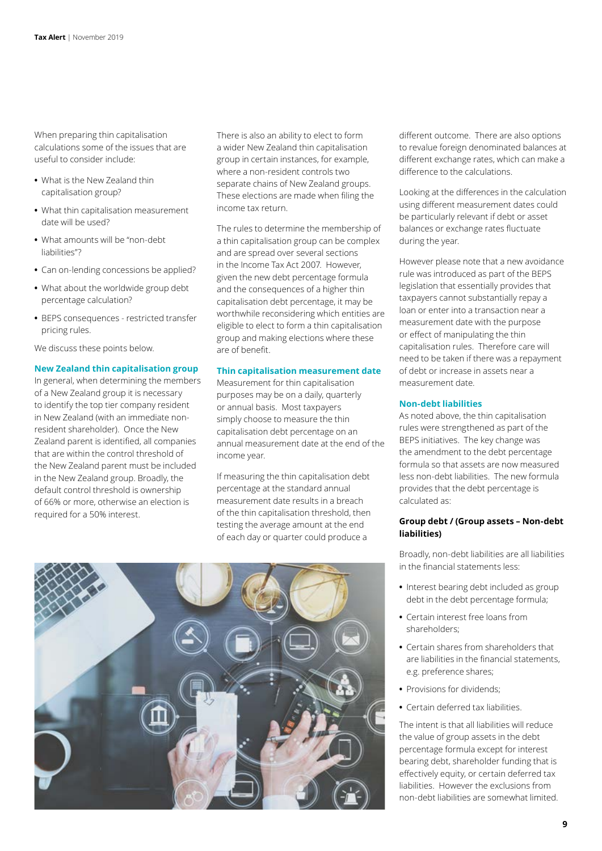When preparing thin capitalisation calculations some of the issues that are useful to consider include:

- **•** What is the New Zealand thin capitalisation group?
- **•** What thin capitalisation measurement date will be used?
- **•** What amounts will be "non-debt liabilities"?
- **•** Can on-lending concessions be applied?
- **•** What about the worldwide group debt percentage calculation?
- **•** BEPS consequences restricted transfer pricing rules.

We discuss these points below.

#### **New Zealand thin capitalisation group**

In general, when determining the members of a New Zealand group it is necessary to identify the top tier company resident in New Zealand (with an immediate nonresident shareholder). Once the New Zealand parent is identified, all companies that are within the control threshold of the New Zealand parent must be included in the New Zealand group. Broadly, the default control threshold is ownership of 66% or more, otherwise an election is required for a 50% interest.

There is also an ability to elect to form a wider New Zealand thin capitalisation group in certain instances, for example, where a non-resident controls two separate chains of New Zealand groups. These elections are made when filing the income tax return.

The rules to determine the membership of a thin capitalisation group can be complex and are spread over several sections in the Income Tax Act 2007. However, given the new debt percentage formula and the consequences of a higher thin capitalisation debt percentage, it may be worthwhile reconsidering which entities are eligible to elect to form a thin capitalisation group and making elections where these are of benefit.

#### **Thin capitalisation measurement date**

Measurement for thin capitalisation purposes may be on a daily, quarterly or annual basis. Most taxpayers simply choose to measure the thin capitalisation debt percentage on an annual measurement date at the end of the income year.

If measuring the thin capitalisation debt percentage at the standard annual measurement date results in a breach of the thin capitalisation threshold, then testing the average amount at the end of each day or quarter could produce a

different outcome. There are also options to revalue foreign denominated balances at different exchange rates, which can make a difference to the calculations.

Looking at the differences in the calculation using different measurement dates could be particularly relevant if debt or asset balances or exchange rates fluctuate during the year.

However please note that a new avoidance rule was introduced as part of the BEPS legislation that essentially provides that taxpayers cannot substantially repay a loan or enter into a transaction near a measurement date with the purpose or effect of manipulating the thin capitalisation rules. Therefore care will need to be taken if there was a repayment of debt or increase in assets near a measurement date.

#### **Non-debt liabilities**

As noted above, the thin capitalisation rules were strengthened as part of the BEPS initiatives. The key change was the amendment to the debt percentage formula so that assets are now measured less non-debt liabilities. The new formula provides that the debt percentage is calculated as:

#### **Group debt / (Group assets – Non-debt liabilities)**

Broadly, non-debt liabilities are all liabilities in the financial statements less:

- **•** Interest bearing debt included as group debt in the debt percentage formula;
- **•** Certain interest free loans from shareholders;
- **•** Certain shares from shareholders that are liabilities in the financial statements, e.g. preference shares;
- **•** Provisions for dividends;
- **•** Certain deferred tax liabilities.

The intent is that all liabilities will reduce the value of group assets in the debt percentage formula except for interest bearing debt, shareholder funding that is effectively equity, or certain deferred tax liabilities. However the exclusions from non-debt liabilities are somewhat limited.

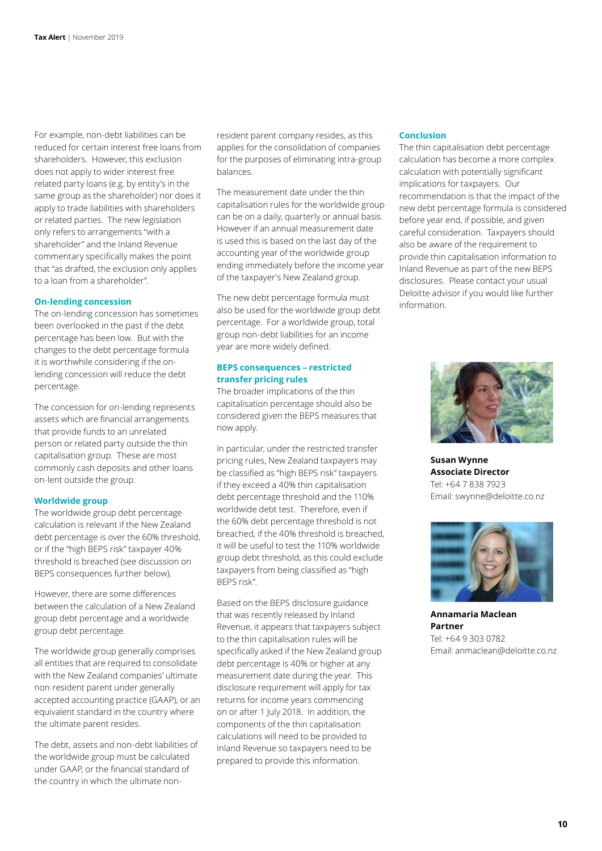For example, non-debt liabilities can be reduced for certain interest free loans from shareholders. However, this exclusion does not apply to wider interest free related party loans (e.g. by entity's in the same group as the shareholder) nor does it apply to trade liabilities with shareholders or related parties. The new legislation only refers to arrangements "with a shareholder" and the Inland Revenue commentary specifically makes the point that "as drafted, the exclusion only applies to a loan from a shareholder".

#### **On-lending concession**

The on-lending concession has sometimes been overlooked in the past if the debt percentage has been low. But with the changes to the debt percentage formula it is worthwhile considering if the onlending concession will reduce the debt percentage.

The concession for on-lending represents assets which are financial arrangements that provide funds to an unrelated person or related party outside the thin capitalisation group. These are most commonly cash deposits and other loans on-lent outside the group.

#### **Worldwide group**

The worldwide group debt percentage calculation is relevant if the New Zealand debt percentage is over the 60% threshold, or if the "high BEPS risk" taxpayer 40% threshold is breached (see discussion on BEPS consequences further below).

However, there are some differences between the calculation of a New Zealand group debt percentage and a worldwide group debt percentage.

The worldwide group generally comprises all entities that are required to consolidate with the New Zealand companies' ultimate non-resident parent under generally accepted accounting practice (GAAP), or an equivalent standard in the country where the ultimate parent resides.

The debt, assets and non-debt liabilities of the worldwide group must be calculated under GAAP, or the financial standard of the country in which the ultimate nonresident parent company resides, as this applies for the consolidation of companies for the purposes of eliminating intra-group balances.

The measurement date under the thin capitalisation rules for the worldwide group can be on a daily, quarterly or annual basis. However if an annual measurement date is used this is based on the last day of the accounting year of the worldwide group ending immediately before the income year of the taxpayer's New Zealand group.

The new debt percentage formula must also be used for the worldwide group debt percentage. For a worldwide group, total group non-debt liabilities for an income year are more widely defined.

#### **BEPS consequences – restricted transfer pricing rules**

The broader implications of the thin capitalisation percentage should also be considered given the BEPS measures that now apply.

In particular, under the restricted transfer pricing rules, New Zealand taxpayers may be classified as "high BEPS risk" taxpayers if they exceed a 40% thin capitalisation debt percentage threshold and the 110% worldwide debt test. Therefore, even if the 60% debt percentage threshold is not breached, if the 40% threshold is breached, it will be useful to test the 110% worldwide group debt threshold, as this could exclude taxpayers from being classified as "high BEPS risk".

Based on the BEPS disclosure guidance that was recently released by Inland Revenue, it appears that taxpayers subject to the thin capitalisation rules will be specifically asked if the New Zealand group debt percentage is 40% or higher at any measurement date during the year. This disclosure requirement will apply for tax returns for income years commencing on or after 1 July 2018. In addition, the components of the thin capitalisation calculations will need to be provided to Inland Revenue so taxpayers need to be prepared to provide this information.

#### **Conclusion**

The thin capitalisation debt percentage calculation has become a more complex calculation with potentially significant implications for taxpayers. Our recommendation is that the impact of the new debt percentage formula is considered before year end, if possible, and given careful consideration. Taxpayers should also be aware of the requirement to provide thin capitalisation information to Inland Revenue as part of the new BEPS disclosures. Please contact your usual Deloitte advisor if you would like further information.



**Susan Wynne Associate Director** Tel: +64 7 838 7923 Email: swynne@deloitte.co.nz



**Annamaria Maclean Partner** Tel: +64 9 303 0782 Email: anmaclean@deloitte.co.nz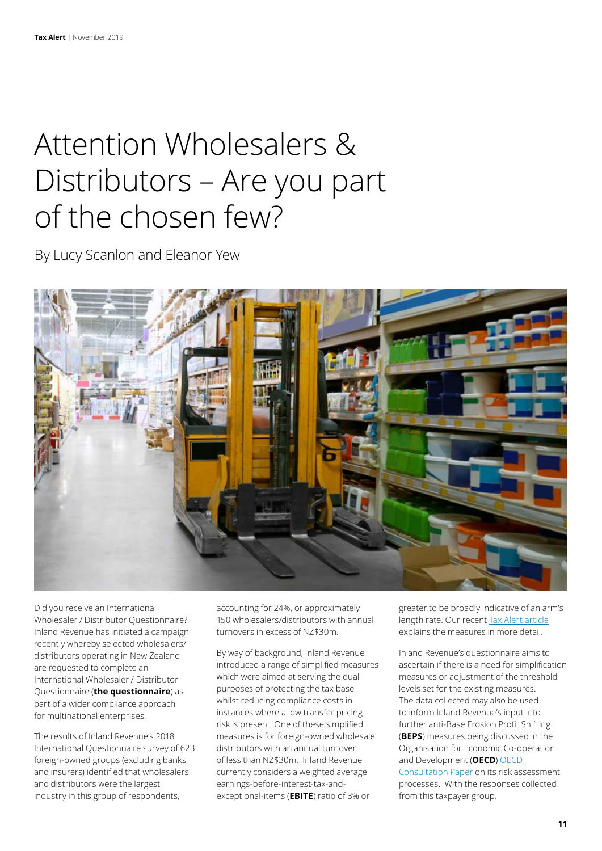### Attention Wholesalers & Distributors – Are you part of the chosen few?

By Lucy Scanlon and Eleanor Yew



Did you receive an International Wholesaler / Distributor Questionnaire? Inland Revenue has initiated a campaign recently whereby selected wholesalers/ distributors operating in New Zealand are requested to complete an International Wholesaler / Distributor Questionnaire (**the questionnaire**) as part of a wider compliance approach for multinational enterprises.

The results of Inland Revenue's 2018 International Questionnaire survey of 623 foreign-owned groups (excluding banks and insurers) identified that wholesalers and distributors were the largest industry in this group of respondents,

accounting for 24%, or approximately 150 wholesalers/distributors with annual turnovers in excess of NZ\$30m.

By way of background, Inland Revenue introduced a range of simplified measures which were aimed at serving the dual purposes of protecting the tax base whilst reducing compliance costs in instances where a low transfer pricing risk is present. One of these simplified measures is for foreign-owned wholesale distributors with an annual turnover of less than NZ\$30m. Inland Revenue currently considers a weighted average earnings-before-interest-tax-andexceptional-items (**EBITE**) ratio of 3% or

greater to be broadly indicative of an arm's length rate. Our recent [Tax Alert article](https://www2.deloitte.com/nz/en/pages/tax-alerts/articles/protecting-the-tax-base-at-a-limited-compliance-cost.html) explains the measures in more detail.

Inland Revenue's questionnaire aims to ascertain if there is a need for simplification measures or adjustment of the threshold levels set for the existing measures. The data collected may also be used to inform Inland Revenue's input into further anti-Base Erosion Profit Shifting (**BEPS**) measures being discussed in the Organisation for Economic Co-operation and Development (**OECD**) [OECD](https://www.oecd.org/tax/beps/public-consultation-document-secretariat-proposal-unified-approach-pillar-one.pdf)  [Consultation Paper](https://www.oecd.org/tax/beps/public-consultation-document-secretariat-proposal-unified-approach-pillar-one.pdf) on its risk assessment processes. With the responses collected from this taxpayer group,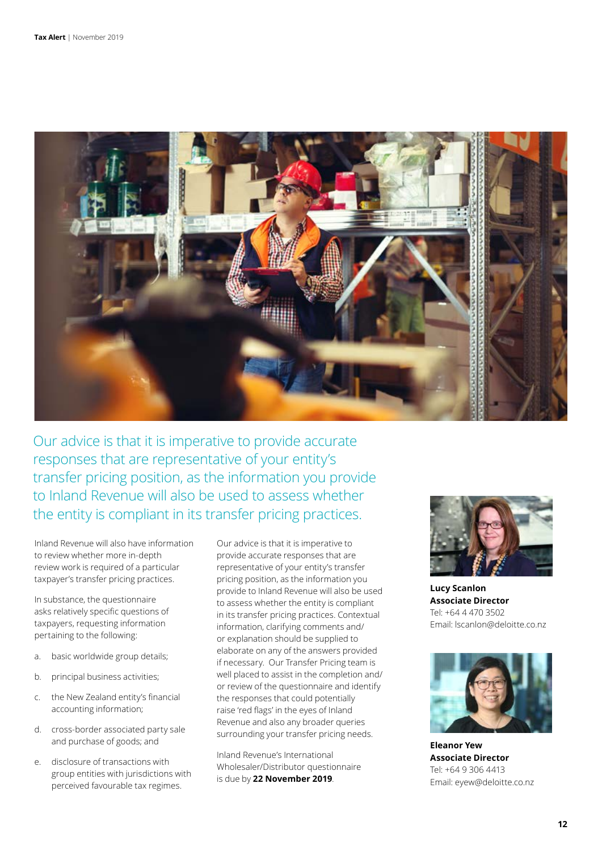

Our advice is that it is imperative to provide accurate responses that are representative of your entity's transfer pricing position, as the information you provide to Inland Revenue will also be used to assess whether the entity is compliant in its transfer pricing practices.

Inland Revenue will also have information to review whether more in-depth review work is required of a particular taxpayer's transfer pricing practices.

In substance, the questionnaire asks relatively specific questions of taxpayers, requesting information pertaining to the following:

- a. basic worldwide group details;
- b. principal business activities;
- c. the New Zealand entity's financial accounting information;
- d. cross-border associated party sale and purchase of goods; and
- e. disclosure of transactions with group entities with jurisdictions with perceived favourable tax regimes.

Our advice is that it is imperative to provide accurate responses that are representative of your entity's transfer pricing position, as the information you provide to Inland Revenue will also be used to assess whether the entity is compliant in its transfer pricing practices. Contextual information, clarifying comments and/ or explanation should be supplied to elaborate on any of the answers provided if necessary. Our Transfer Pricing team is well placed to assist in the completion and/ or review of the questionnaire and identify the responses that could potentially raise 'red flags' in the eyes of Inland Revenue and also any broader queries surrounding your transfer pricing needs.

Inland Revenue's International Wholesaler/Distributor questionnaire is due by **22 November 2019**.



**Lucy Scanlon Associate Director** Tel: +64 4 470 3502 Email: lscanlon@deloitte.co.nz



**Eleanor Yew Associate Director**  Tel: +64 9 306 4413 Email: eyew@deloitte.co.nz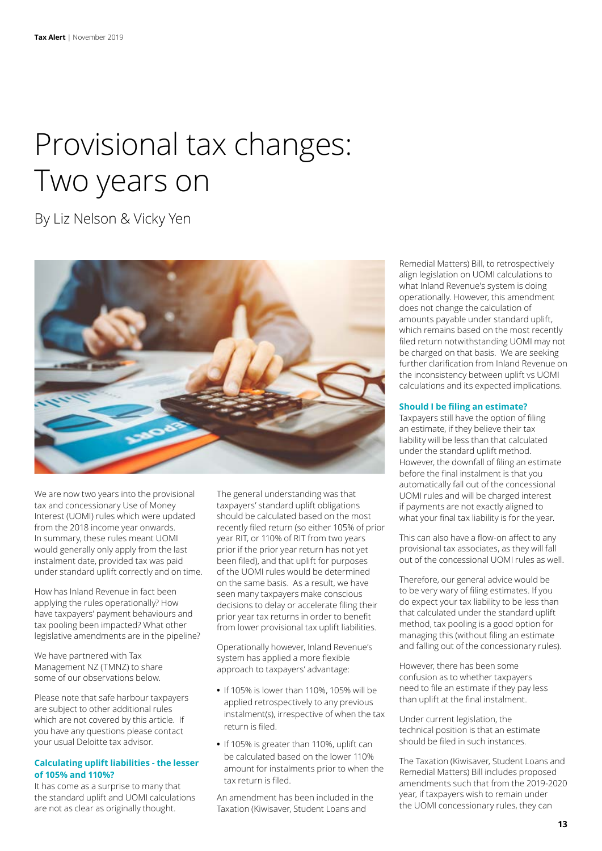# Provisional tax changes: Two years on

By Liz Nelson & Vicky Yen



We are now two years into the provisional tax and concessionary Use of Money Interest (UOMI) rules which were updated from the 2018 income year onwards. In summary, these rules meant UOMI would generally only apply from the last instalment date, provided tax was paid under standard uplift correctly and on time.

How has Inland Revenue in fact been applying the rules operationally? How have taxpayers' payment behaviours and tax pooling been impacted? What other legislative amendments are in the pipeline?

We have partnered with Tax Management NZ (TMNZ) to share some of our observations below.

Please note that safe harbour taxpayers are subject to other additional rules which are not covered by this article. If you have any questions please contact your usual Deloitte tax advisor.

#### **Calculating uplift liabilities - the lesser of 105% and 110%?**

It has come as a surprise to many that the standard uplift and UOMI calculations are not as clear as originally thought.

The general understanding was that taxpayers' standard uplift obligations should be calculated based on the most recently filed return (so either 105% of prior year RIT, or 110% of RIT from two years prior if the prior year return has not yet been filed), and that uplift for purposes of the UOMI rules would be determined on the same basis. As a result, we have seen many taxpayers make conscious decisions to delay or accelerate filing their prior year tax returns in order to benefit from lower provisional tax uplift liabilities.

Operationally however, Inland Revenue's system has applied a more flexible approach to taxpayers' advantage:

- **•** If 105% is lower than 110%, 105% will be applied retrospectively to any previous instalment(s), irrespective of when the tax return is filed.
- **•** If 105% is greater than 110%, uplift can be calculated based on the lower 110% amount for instalments prior to when the tax return is filed.

An amendment has been included in the Taxation (Kiwisaver, Student Loans and

Remedial Matters) Bill, to retrospectively align legislation on UOMI calculations to what Inland Revenue's system is doing operationally. However, this amendment does not change the calculation of amounts payable under standard uplift, which remains based on the most recently filed return notwithstanding UOMI may not be charged on that basis. We are seeking further clarification from Inland Revenue on the inconsistency between uplift vs UOMI calculations and its expected implications.

#### **Should I be filing an estimate?**

Taxpayers still have the option of filing an estimate, if they believe their tax liability will be less than that calculated under the standard uplift method. However, the downfall of filing an estimate before the final instalment is that you automatically fall out of the concessional UOMI rules and will be charged interest if payments are not exactly aligned to what your final tax liability is for the year.

This can also have a flow-on affect to any provisional tax associates, as they will fall out of the concessional UOMI rules as well.

Therefore, our general advice would be to be very wary of filing estimates. If you do expect your tax liability to be less than that calculated under the standard uplift method, tax pooling is a good option for managing this (without filing an estimate and falling out of the concessionary rules).

However, there has been some confusion as to whether taxpayers need to file an estimate if they pay less than uplift at the final instalment.

Under current legislation, the technical position is that an estimate should be filed in such instances.

The Taxation (Kiwisaver, Student Loans and Remedial Matters) Bill includes proposed amendments such that from the 2019-2020 year, if taxpayers wish to remain under the UOMI concessionary rules, they can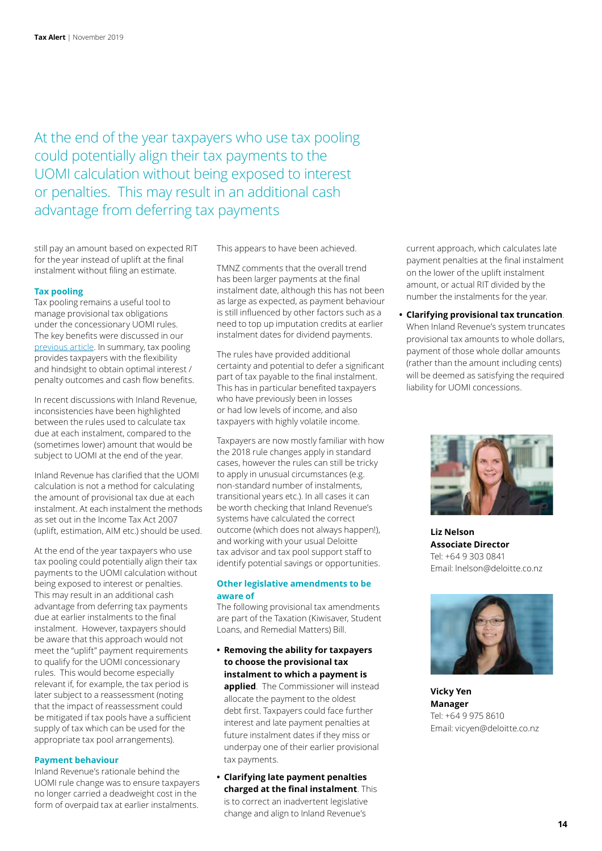At the end of the year taxpayers who use tax pooling could potentially align their tax payments to the UOMI calculation without being exposed to interest or penalties. This may result in an additional cash advantage from deferring tax payments

still pay an amount based on expected RIT for the year instead of uplift at the final instalment without filing an estimate.

#### **Tax pooling**

Tax pooling remains a useful tool to manage provisional tax obligations under the concessionary UOMI rules. The key benefits were discussed in our [previous article.](https://www2.deloitte.com/content/dam/Deloitte/nz/Documents/tax/Tax-alert/2017/nz-en-Tax%20Alert-August-2017.pdf) In summary, tax pooling provides taxpayers with the flexibility and hindsight to obtain optimal interest / penalty outcomes and cash flow benefits.

In recent discussions with Inland Revenue, inconsistencies have been highlighted between the rules used to calculate tax due at each instalment, compared to the (sometimes lower) amount that would be subject to UOMI at the end of the year.

Inland Revenue has clarified that the UOMI calculation is not a method for calculating the amount of provisional tax due at each instalment. At each instalment the methods as set out in the Income Tax Act 2007 (uplift, estimation, AIM etc.) should be used.

At the end of the year taxpayers who use tax pooling could potentially align their tax payments to the UOMI calculation without being exposed to interest or penalties. This may result in an additional cash advantage from deferring tax payments due at earlier instalments to the final instalment. However, taxpayers should be aware that this approach would not meet the "uplift" payment requirements to qualify for the UOMI concessionary rules. This would become especially relevant if, for example, the tax period is later subject to a reassessment (noting that the impact of reassessment could be mitigated if tax pools have a sufficient supply of tax which can be used for the appropriate tax pool arrangements).

#### **Payment behaviour**

Inland Revenue's rationale behind the UOMI rule change was to ensure taxpayers no longer carried a deadweight cost in the form of overpaid tax at earlier instalments. This appears to have been achieved.

TMNZ comments that the overall trend has been larger payments at the final instalment date, although this has not been as large as expected, as payment behaviour is still influenced by other factors such as a need to top up imputation credits at earlier instalment dates for dividend payments.

The rules have provided additional certainty and potential to defer a significant part of tax payable to the final instalment. This has in particular benefited taxpayers who have previously been in losses or had low levels of income, and also taxpayers with highly volatile income.

Taxpayers are now mostly familiar with how the 2018 rule changes apply in standard cases, however the rules can still be tricky to apply in unusual circumstances (e.g. non-standard number of instalments, transitional years etc.). In all cases it can be worth checking that Inland Revenue's systems have calculated the correct outcome (which does not always happen!), and working with your usual Deloitte tax advisor and tax pool support staff to identify potential savings or opportunities.

#### **Other legislative amendments to be aware of**

The following provisional tax amendments are part of the Taxation (Kiwisaver, Student Loans, and Remedial Matters) Bill.

- **• Removing the ability for taxpayers to choose the provisional tax instalment to which a payment is applied**. The Commissioner will instead allocate the payment to the oldest debt first. Taxpayers could face further interest and late payment penalties at future instalment dates if they miss or underpay one of their earlier provisional tax payments.
- **• Clarifying late payment penalties charged at the final instalment**. This is to correct an inadvertent legislative change and align to Inland Revenue's

current approach, which calculates late payment penalties at the final instalment on the lower of the uplift instalment amount, or actual RIT divided by the number the instalments for the year.

**• Clarifying provisional tax truncation**. When Inland Revenue's system truncates provisional tax amounts to whole dollars, payment of those whole dollar amounts (rather than the amount including cents) will be deemed as satisfying the required liability for UOMI concessions.



**Liz Nelson Associate Director** Tel: +64 9 303 0841 Email: lnelson@deloitte.co.nz



**Vicky Yen Manager** Tel: +64 9 975 8610 Email: vicyen@deloitte.co.nz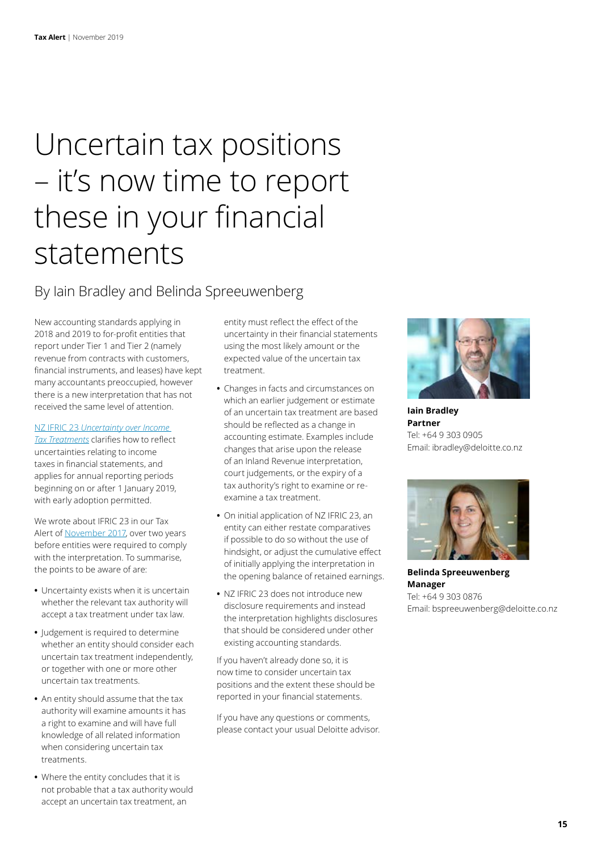# Uncertain tax positions – it's now time to report these in your financial statements

### By Iain Bradley and Belinda Spreeuwenberg

New accounting standards applying in 2018 and 2019 to for-profit entities that report under Tier 1 and Tier 2 (namely revenue from contracts with customers, financial instruments, and leases) have kept many accountants preoccupied, however there is a new interpretation that has not received the same level of attention.

#### NZ IFRIC 23 *[Uncertainty over Income](https://www.xrb.govt.nz/dmsdocument/2490)*

*[Tax Treatments](https://www.xrb.govt.nz/dmsdocument/2490)* clarifies how to reflect uncertainties relating to income taxes in financial statements, and applies for annual reporting periods beginning on or after 1 January 2019, with early adoption permitted.

We wrote about IFRIC 23 in our Tax Alert of [November 2017](https://www2.deloitte.com/nz/en/pages/tax-alerts/articles/dealing-with-uncertain-tax-position-in-your-accounts.html), over two years before entities were required to comply with the interpretation. To summarise, the points to be aware of are:

- **•** Uncertainty exists when it is uncertain whether the relevant tax authority will accept a tax treatment under tax law.
- **•** Judgement is required to determine whether an entity should consider each uncertain tax treatment independently, or together with one or more other uncertain tax treatments.
- **•** An entity should assume that the tax authority will examine amounts it has a right to examine and will have full knowledge of all related information when considering uncertain tax treatments.
- **•** Where the entity concludes that it is not probable that a tax authority would accept an uncertain tax treatment, an

entity must reflect the effect of the uncertainty in their financial statements using the most likely amount or the expected value of the uncertain tax treatment.

- **•** Changes in facts and circumstances on which an earlier judgement or estimate of an uncertain tax treatment are based should be reflected as a change in accounting estimate. Examples include changes that arise upon the release of an Inland Revenue interpretation, court judgements, or the expiry of a tax authority's right to examine or reexamine a tax treatment.
- **•** On initial application of NZ IFRIC 23, an entity can either restate comparatives if possible to do so without the use of hindsight, or adjust the cumulative effect of initially applying the interpretation in the opening balance of retained earnings.
- **•** NZ IFRIC 23 does not introduce new disclosure requirements and instead the interpretation highlights disclosures that should be considered under other existing accounting standards.

If you haven't already done so, it is now time to consider uncertain tax positions and the extent these should be reported in your financial statements.

If you have any questions or comments, please contact your usual Deloitte advisor.



**Iain Bradley Partner** Tel: +64 9 303 0905 Email: ibradley@deloitte.co.nz



**Belinda Spreeuwenberg Manager** Tel: +64 9 303 0876 Email: bspreeuwenberg@deloitte.co.nz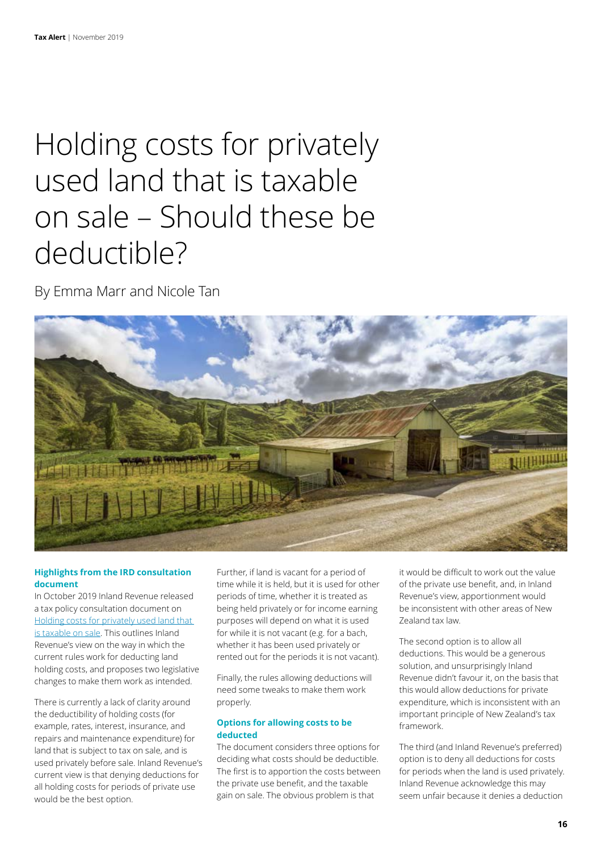## Holding costs for privately used land that is taxable on sale – Should these be deductible?

By Emma Marr and Nicole Tan



#### **Highlights from the IRD consultation document**

In October 2019 Inland Revenue released a tax policy consultation document on [Holding costs for privately used land that](http://taxpolicy.ird.govt.nz/sites/default/files/2019-ip-land-holding-costs.pdf)  [is taxable on sale](http://taxpolicy.ird.govt.nz/sites/default/files/2019-ip-land-holding-costs.pdf). This outlines Inland Revenue's view on the way in which the current rules work for deducting land holding costs, and proposes two legislative changes to make them work as intended.

There is currently a lack of clarity around the deductibility of holding costs (for example, rates, interest, insurance, and repairs and maintenance expenditure) for land that is subject to tax on sale, and is used privately before sale. Inland Revenue's current view is that denying deductions for all holding costs for periods of private use would be the best option.

Further, if land is vacant for a period of time while it is held, but it is used for other periods of time, whether it is treated as being held privately or for income earning purposes will depend on what it is used for while it is not vacant (e.g. for a bach, whether it has been used privately or rented out for the periods it is not vacant).

Finally, the rules allowing deductions will need some tweaks to make them work properly.

#### **Options for allowing costs to be deducted**

The document considers three options for deciding what costs should be deductible. The first is to apportion the costs between the private use benefit, and the taxable gain on sale. The obvious problem is that

it would be difficult to work out the value of the private use benefit, and, in Inland Revenue's view, apportionment would be inconsistent with other areas of New Zealand tax law.

The second option is to allow all deductions. This would be a generous solution, and unsurprisingly Inland Revenue didn't favour it, on the basis that this would allow deductions for private expenditure, which is inconsistent with an important principle of New Zealand's tax framework.

The third (and Inland Revenue's preferred) option is to deny all deductions for costs for periods when the land is used privately. Inland Revenue acknowledge this may seem unfair because it denies a deduction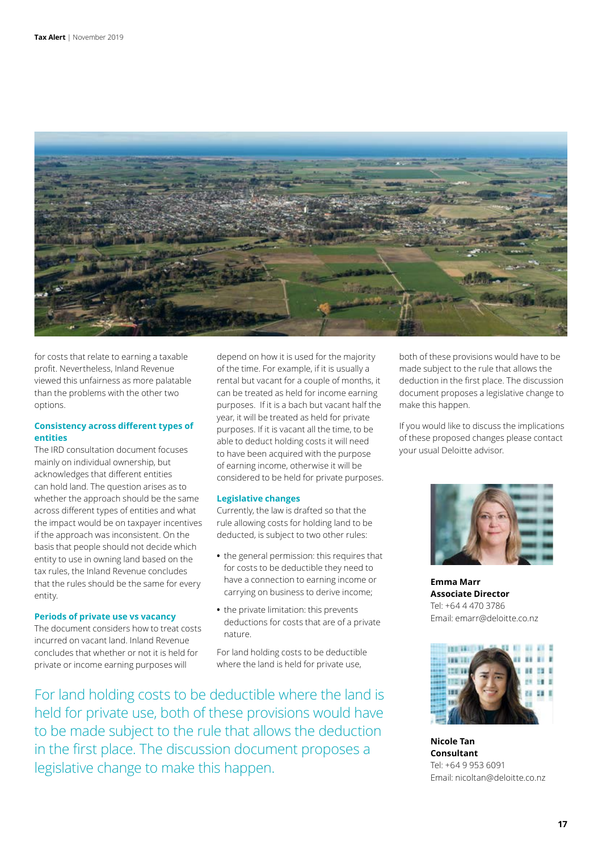

for costs that relate to earning a taxable profit. Nevertheless, Inland Revenue viewed this unfairness as more palatable than the problems with the other two options.

#### **Consistency across different types of entities**

The IRD consultation document focuses mainly on individual ownership, but acknowledges that different entities can hold land. The question arises as to whether the approach should be the same across different types of entities and what the impact would be on taxpayer incentives if the approach was inconsistent. On the basis that people should not decide which entity to use in owning land based on the tax rules, the Inland Revenue concludes that the rules should be the same for every entity.

#### **Periods of private use vs vacancy**

The document considers how to treat costs incurred on vacant land. Inland Revenue concludes that whether or not it is held for private or income earning purposes will

depend on how it is used for the majority of the time. For example, if it is usually a rental but vacant for a couple of months, it can be treated as held for income earning purposes. If it is a bach but vacant half the year, it will be treated as held for private purposes. If it is vacant all the time, to be able to deduct holding costs it will need to have been acquired with the purpose of earning income, otherwise it will be considered to be held for private purposes.

#### **Legislative changes**

Currently, the law is drafted so that the rule allowing costs for holding land to be deducted, is subject to two other rules:

- **•** the general permission: this requires that for costs to be deductible they need to have a connection to earning income or carrying on business to derive income;
- **•** the private limitation: this prevents deductions for costs that are of a private nature.

For land holding costs to be deductible where the land is held for private use,

For land holding costs to be deductible where the land is held for private use, both of these provisions would have to be made subject to the rule that allows the deduction in the first place. The discussion document proposes a legislative change to make this happen.

both of these provisions would have to be made subject to the rule that allows the deduction in the first place. The discussion document proposes a legislative change to make this happen.

If you would like to discuss the implications of these proposed changes please contact your usual Deloitte advisor.



**Emma Marr Associate Director** Tel: +64 4 470 3786 Email: emarr@deloitte.co.nz



**Nicole Tan Consultant** Tel: +64 9 953 6091 Email: nicoltan@deloitte.co.nz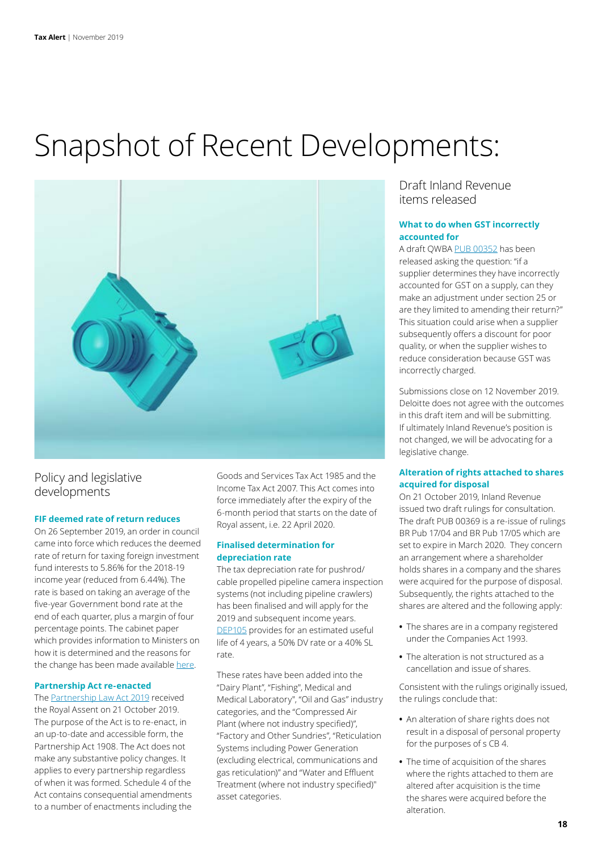### Snapshot of Recent Developments:



### Policy and legislative developments

#### **FIF deemed rate of return reduces**

On 26 September 2019, an order in council came into force which reduces the deemed rate of return for taxing foreign investment fund interests to 5.86% for the 2018-19 income year (reduced from 6.44%). The rate is based on taking an average of the five-year Government bond rate at the end of each quarter, plus a margin of four percentage points. The cabinet paper which provides information to Ministers on how it is determined and the reasons for the change has been made available [here](http://taxpolicy.ird.govt.nz/sites/default/files/2019-ir-cab-leg-19-sub-0115.pdf).

#### **Partnership Act re-enacted**

The [Partnership Law Act 2019](http://www.legislation.govt.nz/act/public/2019/0053/latest/LMS205958.htmlhttp://) received the Royal Assent on 21 October 2019. The purpose of the Act is to re-enact, in an up-to-date and accessible form, the Partnership Act 1908. The Act does not make any substantive policy changes. It applies to every partnership regardless of when it was formed. Schedule 4 of the Act contains consequential amendments to a number of enactments including the

Goods and Services Tax Act 1985 and the Income Tax Act 2007. This Act comes into force immediately after the expiry of the 6-month period that starts on the date of Royal assent, i.e. 22 April 2020.

#### **Finalised determination for depreciation rate**

The tax depreciation rate for pushrod/ cable propelled pipeline camera inspection systems (not including pipeline crawlers) has been finalised and will apply for the 2019 and subsequent income years. [DEP105](https://www.classic.ird.govt.nz/technical-tax/determinations/depreciation/depreciation-deter-dep105.html) provides for an estimated useful life of 4 years, a 50% DV rate or a 40% SL rate.

These rates have been added into the "Dairy Plant", "Fishing", Medical and Medical Laboratory", "Oil and Gas" industry categories, and the "Compressed Air Plant (where not industry specified)", "Factory and Other Sundries", "Reticulation Systems including Power Generation (excluding electrical, communications and gas reticulation)" and "Water and Effluent Treatment (where not industry specified)" asset categories.

Draft Inland Revenue items released

#### **What to do when GST incorrectly accounted for**

A draft QWBA [PUB 00352](https://www.classic.ird.govt.nz/resources/7/1/71207faf-b306-4e97-b164-71e50c67a165/pub00352.pdf) has been released asking the question: "if a supplier determines they have incorrectly accounted for GST on a supply, can they make an adjustment under section 25 or are they limited to amending their return?" This situation could arise when a supplier subsequently offers a discount for poor quality, or when the supplier wishes to reduce consideration because GST was incorrectly charged.

Submissions close on 12 November 2019. Deloitte does not agree with the outcomes in this draft item and will be submitting. If ultimately Inland Revenue's position is not changed, we will be advocating for a legislative change.

#### **Alteration of rights attached to shares acquired for disposal**

On 21 October 2019, Inland Revenue issued two draft rulings for consultation. The draft PUB 00369 is a re-issue of rulings BR Pub 17/04 and BR Pub 17/05 which are set to expire in March 2020. They concern an arrangement where a shareholder holds shares in a company and the shares were acquired for the purpose of disposal. Subsequently, the rights attached to the shares are altered and the following apply:

- **•** The shares are in a company registered under the Companies Act 1993.
- **•** The alteration is not structured as a cancellation and issue of shares.

Consistent with the rulings originally issued, the rulings conclude that:

- **•** An alteration of share rights does not result in a disposal of personal property for the purposes of s CB 4.
- **•** The time of acquisition of the shares where the rights attached to them are altered after acquisition is the time the shares were acquired before the alteration.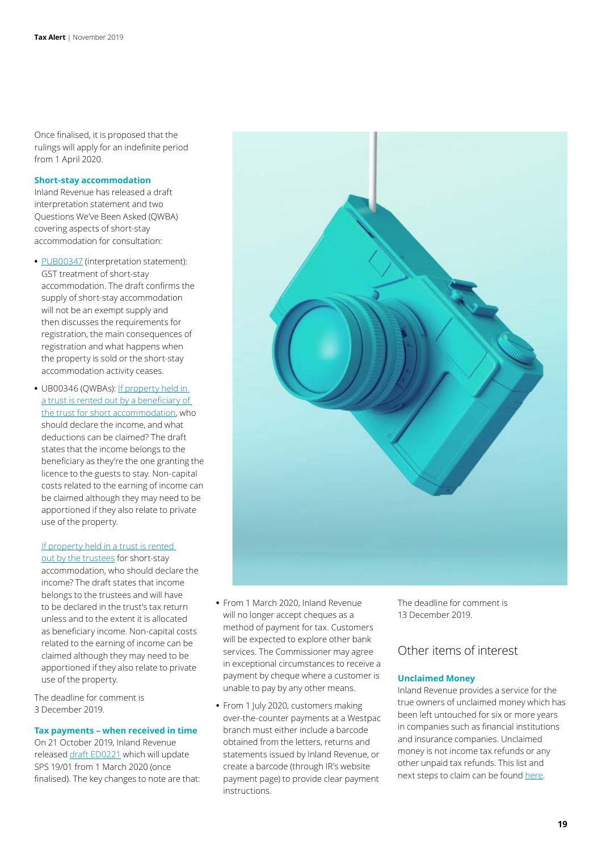Once finalised, it is proposed that the rulings will apply for an indefinite period from 1 April 2020.

#### **Short-stay accommodation**

Inland Revenue has released a draft interpretation statement and two Questions We've Been Asked (QWBA) covering aspects of short-stay accommodation for consultation:

- **•** [PUB00347](https://www.classic.ird.govt.nz/resources/f/8/f8512ea2-948f-466f-9879-2a67a6d064ba/pub00347.pdf) (interpretation statement): GST treatment of short-stay accommodation. The draft confirms the supply of short-stay accommodation will not be an exempt supply and then discusses the requirements for registration, the main consequences of registration and what happens when the property is sold or the short-stay accommodation activity ceases.
- **•** UB00346 (QWBAs): [If property held in](https://www.classic.ird.govt.nz/resources/0/4/04428232-5954-4c05-8b8b-6b116e13f05b/PUB00346-beneficiary-renting.pdf)  [a trust is rented out by a beneficiary of](https://www.classic.ird.govt.nz/resources/0/4/04428232-5954-4c05-8b8b-6b116e13f05b/PUB00346-beneficiary-renting.pdf)  [the trust for short accommodation](https://www.classic.ird.govt.nz/resources/0/4/04428232-5954-4c05-8b8b-6b116e13f05b/PUB00346-beneficiary-renting.pdf), who should declare the income, and what deductions can be claimed? The draft states that the income belongs to the beneficiary as they're the one granting the licence to the guests to stay. Non-capital costs related to the earning of income can be claimed although they may need to be apportioned if they also relate to private use of the property.

#### [If property held in a trust is rented](https://www.classic.ird.govt.nz/resources/d/7/d796784d-2ae2-45f2-9e16-1d04ad75b74a/pub00346-trustees-renting.pdf)

[out by the trustees](https://www.classic.ird.govt.nz/resources/d/7/d796784d-2ae2-45f2-9e16-1d04ad75b74a/pub00346-trustees-renting.pdf) for short-stay accommodation, who should declare the income? The draft states that income belongs to the trustees and will have to be declared in the trust's tax return unless and to the extent it is allocated as beneficiary income. Non-capital costs related to the earning of income can be claimed although they may need to be apportioned if they also relate to private use of the property.

The deadline for comment is 3 December 2019.

#### **Tax payments – when received in time**

On 21 October 2019, Inland Revenue released [draft ED0221](https://www.classic.ird.govt.nz/resources/8/1/81a6a7ec-c4ae-48db-a179-a49c9153148b/ed0221.pdf) which will update SPS 19/01 from 1 March 2020 (once finalised). The key changes to note are that:

- **•** From 1 March 2020, Inland Revenue will no longer accept cheques as a method of payment for tax. Customers will be expected to explore other bank services. The Commissioner may agree in exceptional circumstances to receive a payment by cheque where a customer is unable to pay by any other means.
- **•** From 1 July 2020, customers making over-the-counter payments at a Westpac branch must either include a barcode obtained from the letters, returns and statements issued by Inland Revenue, or create a barcode (through IR's website payment page) to provide clear payment instructions.

The deadline for comment is 13 December 2019.

### Other items of interest

#### **Unclaimed Money**

Inland Revenue provides a service for the true owners of unclaimed money which has been left untouched for six or more years in companies such as financial institutions and insurance companies. Unclaimed money is not income tax refunds or any other unpaid tax refunds. This list and next steps to claim can be found [here](https://www.classic.ird.govt.nz/unclaimed-money/).